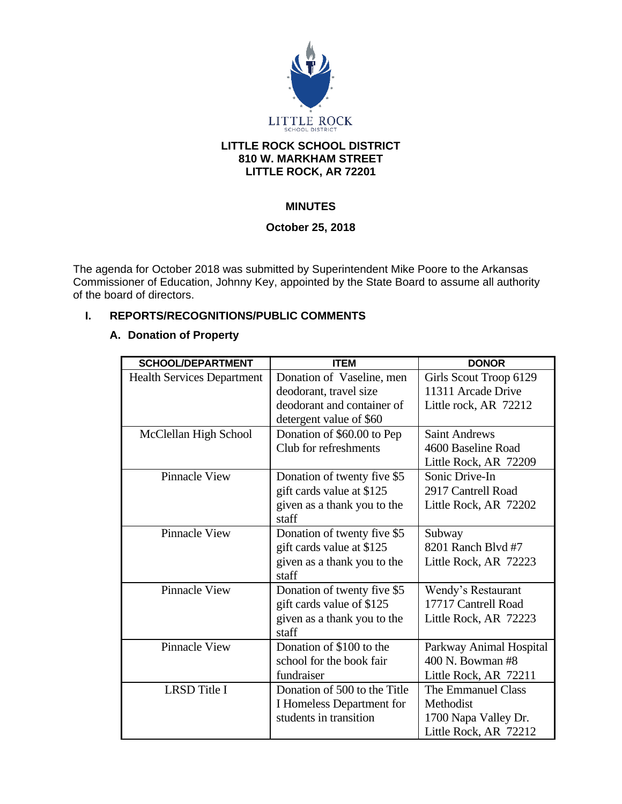

#### **LITTLE ROCK SCHOOL DISTRICT 810 W. MARKHAM STREET LITTLE ROCK, AR 72201**

# **MINUTES**

### **October 25, 2018**

The agenda for October 2018 was submitted by Superintendent Mike Poore to the Arkansas Commissioner of Education, Johnny Key, appointed by the State Board to assume all authority of the board of directors.

# **I. REPORTS/RECOGNITIONS/PUBLIC COMMENTS**

### **A. Donation of Property**

| <b>SCHOOL/DEPARTMENT</b>          | <b>ITEM</b>                  | <b>DONOR</b>            |
|-----------------------------------|------------------------------|-------------------------|
| <b>Health Services Department</b> | Donation of Vaseline, men    | Girls Scout Troop 6129  |
|                                   | deodorant, travel size       | 11311 Arcade Drive      |
|                                   | deodorant and container of   | Little rock, AR 72212   |
|                                   | detergent value of \$60      |                         |
| McClellan High School             | Donation of \$60.00 to Pep   | <b>Saint Andrews</b>    |
|                                   | Club for refreshments        | 4600 Baseline Road      |
|                                   |                              | Little Rock, AR 72209   |
| <b>Pinnacle View</b>              | Donation of twenty five \$5  | Sonic Drive-In          |
|                                   | gift cards value at \$125    | 2917 Cantrell Road      |
|                                   | given as a thank you to the  | Little Rock, AR 72202   |
|                                   | staff                        |                         |
| <b>Pinnacle View</b>              | Donation of twenty five \$5  | Subway                  |
|                                   | gift cards value at \$125    | 8201 Ranch Blvd #7      |
|                                   | given as a thank you to the  | Little Rock, AR 72223   |
|                                   | staff                        |                         |
| <b>Pinnacle View</b>              | Donation of twenty five \$5  | Wendy's Restaurant      |
|                                   | gift cards value of \$125    | 17717 Cantrell Road     |
|                                   | given as a thank you to the  | Little Rock, AR 72223   |
|                                   | staff                        |                         |
| <b>Pinnacle View</b>              | Donation of \$100 to the     | Parkway Animal Hospital |
|                                   | school for the book fair     | 400 N. Bowman #8        |
|                                   | fundraiser                   | Little Rock, AR 72211   |
| <b>LRSD</b> Title I               | Donation of 500 to the Title | The Emmanuel Class      |
|                                   | I Homeless Department for    | Methodist               |
|                                   | students in transition       | 1700 Napa Valley Dr.    |
|                                   |                              | Little Rock, AR 72212   |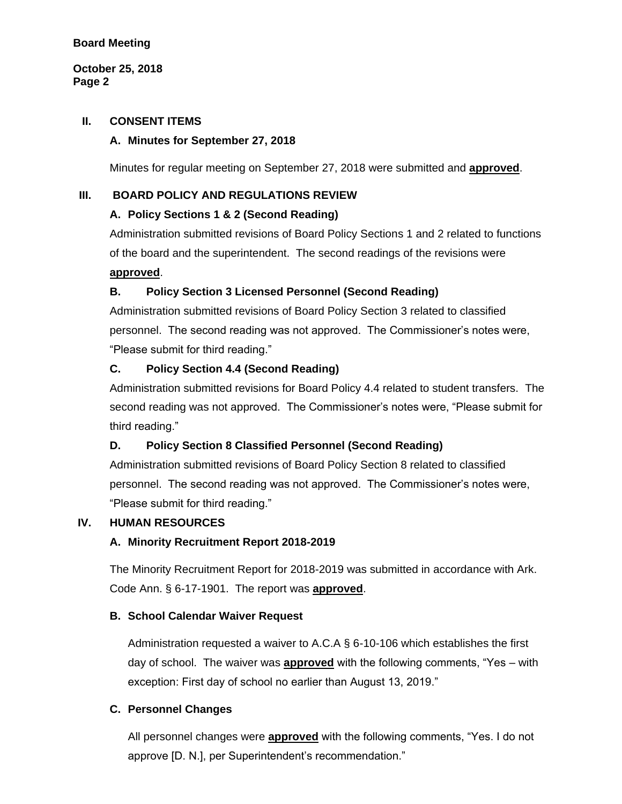**October 25, 2018 Page 2**

#### **II. CONSENT ITEMS**

#### **A. Minutes for September 27, 2018**

Minutes for regular meeting on September 27, 2018 were submitted and **approved**.

### **III. BOARD POLICY AND REGULATIONS REVIEW**

### **A. Policy Sections 1 & 2 (Second Reading)**

Administration submitted revisions of Board Policy Sections 1 and 2 related to functions of the board and the superintendent. The second readings of the revisions were **approved**.

### **B. Policy Section 3 Licensed Personnel (Second Reading)**

Administration submitted revisions of Board Policy Section 3 related to classified personnel. The second reading was not approved. The Commissioner's notes were, "Please submit for third reading."

### **C. Policy Section 4.4 (Second Reading)**

Administration submitted revisions for Board Policy 4.4 related to student transfers. The second reading was not approved. The Commissioner's notes were, "Please submit for third reading."

# **D. Policy Section 8 Classified Personnel (Second Reading)**

Administration submitted revisions of Board Policy Section 8 related to classified personnel. The second reading was not approved. The Commissioner's notes were, "Please submit for third reading."

### **IV. HUMAN RESOURCES**

### **A. Minority Recruitment Report 2018-2019**

The Minority Recruitment Report for 2018-2019 was submitted in accordance with Ark. Code Ann. § 6-17-1901. The report was **approved**.

### **B. School Calendar Waiver Request**

Administration requested a waiver to A.C.A § 6-10-106 which establishes the first day of school. The waiver was **approved** with the following comments, "Yes – with exception: First day of school no earlier than August 13, 2019."

### **C. Personnel Changes**

All personnel changes were **approved** with the following comments, "Yes. I do not approve [D. N.], per Superintendent's recommendation."